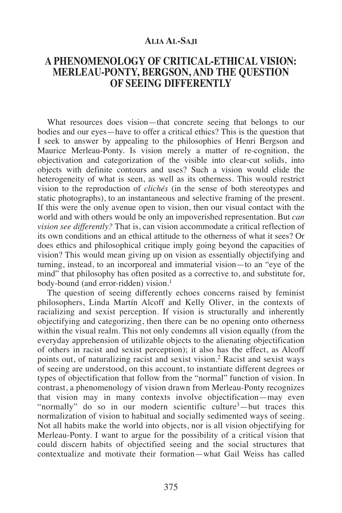### **ALIA AL-SAJI**

# **A PHENOMENOLOGY OF CRITICAL-ETHICAL VISION: MERLEAU-PONTY, BERGSON, AND THE QUESTION OF SEEING DIFFERENTLY**

What resources does vision—that concrete seeing that belongs to our bodies and our eyes—have to offer a critical ethics? This is the question that I seek to answer by appealing to the philosophies of Henri Bergson and Maurice Merleau-Ponty. Is vision merely a matter of re-cognition, the objectivation and categorization of the visible into clear-cut solids, into objects with definite contours and uses? Such a vision would elide the heterogeneity of what is seen, as well as its otherness. This would restrict vision to the reproduction of *clichés* (in the sense of both stereotypes and static photographs), to an instantaneous and selective framing of the present. If this were the only avenue open to vision, then our visual contact with the world and with others would be only an impoverished representation. But *can vision see differently?* That is, can vision accommodate a critical reflection of its own conditions and an ethical attitude to the otherness of what it sees? Or does ethics and philosophical critique imply going beyond the capacities of vision? This would mean giving up on vision as essentially objectifying and turning, instead, to an incorporeal and immaterial vision—to an "eye of the mind" that philosophy has often posited as a corrective to, and substitute for, body-bound (and error-ridden) vision.<sup>1</sup>

The question of seeing differently echoes concerns raised by feminist philosophers, Linda Martín Alcoff and Kelly Oliver, in the contexts of racializing and sexist perception. If vision is structurally and inherently objectifying and categorizing, then there can be no opening onto otherness within the visual realm. This not only condemns all vision equally (from the everyday apprehension of utilizable objects to the alienating objectification of others in racist and sexist perception); it also has the effect, as Alcoff points out, of naturalizing racist and sexist vision.2 Racist and sexist ways of seeing are understood, on this account, to instantiate different degrees or types of objectification that follow from the "normal" function of vision. In contrast, a phenomenology of vision drawn from Merleau-Ponty recognizes that vision may in many contexts involve objectification—may even "normally" do so in our modern scientific culture<sup>3</sup>—but traces this normalization of vision to habitual and socially sedimented ways of seeing. Not all habits make the world into objects, nor is all vision objectifying for Merleau-Ponty. I want to argue for the possibility of a critical vision that could discern habits of objectified seeing and the social structures that contextualize and motivate their formation—what Gail Weiss has called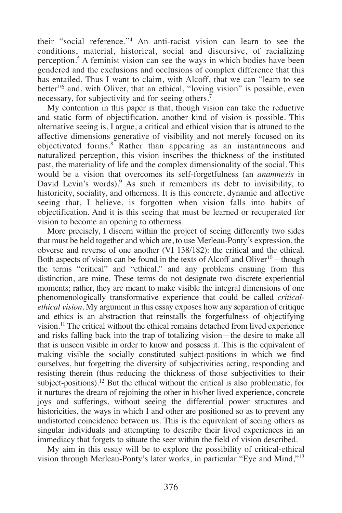their "social reference."4 An anti-racist vision can learn to see the conditions, material, historical, social and discursive, of racializing perception.5 A feminist vision can see the ways in which bodies have been gendered and the exclusions and occlusions of complex difference that this has entailed. Thus I want to claim, with Alcoff, that we can "learn to see better"6 and, with Oliver, that an ethical, "loving vision" is possible, even necessary, for subjectivity and for seeing others.<sup>7</sup>

My contention in this paper is that, though vision can take the reductive and static form of objectification, another kind of vision is possible. This alternative seeing is, I argue, a critical and ethical vision that is attuned to the affective dimensions generative of visibility and not merely focused on its objectivated forms.8 Rather than appearing as an instantaneous and naturalized perception, this vision inscribes the thickness of the instituted past, the materiality of life and the complex dimensionality of the social. This would be a vision that overcomes its self-forgetfulness (an *anamnesis* in David Levin's words).<sup>9</sup> As such it remembers its debt to invisibility, to historicity, sociality, and otherness. It is this concrete, dynamic and affective seeing that, I believe, is forgotten when vision falls into habits of objectification. And it is this seeing that must be learned or recuperated for vision to become an opening to otherness.

More precisely, I discern within the project of seeing differently two sides that must be held together and which are, to use Merleau-Ponty's expression, the obverse and reverse of one another (VI 138/182): the critical and the ethical. Both aspects of vision can be found in the texts of Alcoff and Oliver<sup>10</sup>—though the terms "critical" and "ethical," and any problems ensuing from this distinction, are mine. These terms do not designate two discrete experiential moments; rather, they are meant to make visible the integral dimensions of one phenomenologically transformative experience that could be called *criticalethical vision*. My argument in this essay exposes how any separation of critique and ethics is an abstraction that reinstalls the forgetfulness of objectifying vision.11 The critical without the ethical remains detached from lived experience and risks falling back into the trap of totalizing vision—the desire to make all that is unseen visible in order to know and possess it. This is the equivalent of making visible the socially constituted subject-positions in which we find ourselves, but forgetting the diversity of subjectivities acting, responding and resisting therein (thus reducing the thickness of those subjectivities to their subject-positions).<sup>12</sup> But the ethical without the critical is also problematic, for it nurtures the dream of rejoining the other in his/her lived experience, concrete joys and sufferings, without seeing the differential power structures and historicities, the ways in which I and other are positioned so as to prevent any undistorted coincidence between us. This is the equivalent of seeing others as singular individuals and attempting to describe their lived experiences in an immediacy that forgets to situate the seer within the field of vision described.

My aim in this essay will be to explore the possibility of critical-ethical vision through Merleau-Ponty's later works, in particular "Eye and Mind,"13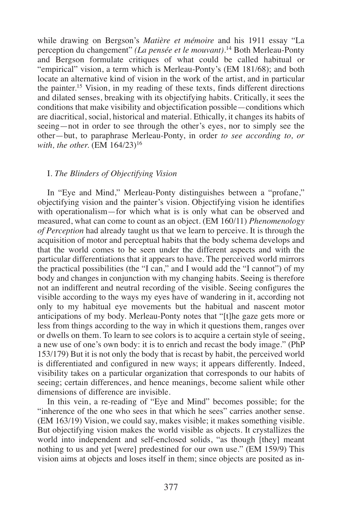while drawing on Bergson's *Matière et mémoire* and his 1911 essay "La perception du changement" *(La pensée et le mouvant)*. <sup>14</sup> Both Merleau-Ponty and Bergson formulate critiques of what could be called habitual or "empirical" vision, a term which is Merleau-Ponty's (EM 181/68); and both locate an alternative kind of vision in the work of the artist, and in particular the painter.15 Vision, in my reading of these texts, finds different directions and dilated senses, breaking with its objectifying habits. Critically, it sees the conditions that make visibility and objectification possible—conditions which are diacritical, social, historical and material. Ethically, it changes its habits of seeing—not in order to see through the other's eyes, nor to simply see the other—but, to paraphrase Merleau-Ponty, in order *to see according to, or with, the other.* (EM 164/23)<sup>16</sup>

#### I. *The Blinders of Objectifying Vision*

In "Eye and Mind," Merleau-Ponty distinguishes between a "profane," objectifying vision and the painter's vision. Objectifying vision he identifies with operationalism—for which what is is only what can be observed and measured, what can come to count as an object. (EM 160/11) *Phenomenology of Perception* had already taught us that we learn to perceive. It is through the acquisition of motor and perceptual habits that the body schema develops and that the world comes to be seen under the different aspects and with the particular differentiations that it appears to have. The perceived world mirrors the practical possibilities (the "I can," and I would add the "I cannot") of my body and changes in conjunction with my changing habits. Seeing is therefore not an indifferent and neutral recording of the visible. Seeing configures the visible according to the ways my eyes have of wandering in it, according not only to my habitual eye movements but the habitual and nascent motor anticipations of my body. Merleau-Ponty notes that "[t]he gaze gets more or less from things according to the way in which it questions them, ranges over or dwells on them. To learn to see colors is to acquire a certain style of seeing, a new use of one's own body: it is to enrich and recast the body image." (PhP 153/179) But it is not only the body that is recast by habit, the perceived world is differentiated and configured in new ways; it appears differently. Indeed, visibility takes on a particular organization that corresponds to our habits of seeing; certain differences, and hence meanings, become salient while other dimensions of difference are invisible.

In this vein, a re-reading of "Eye and Mind" becomes possible; for the "inherence of the one who sees in that which he sees" carries another sense. (EM 163/19) Vision, we could say, makes visible; it makes something visible. But objectifying vision makes the world visible as objects. It crystallizes the world into independent and self-enclosed solids, "as though [they] meant nothing to us and yet [were] predestined for our own use." (EM 159/9) This vision aims at objects and loses itself in them; since objects are posited as in-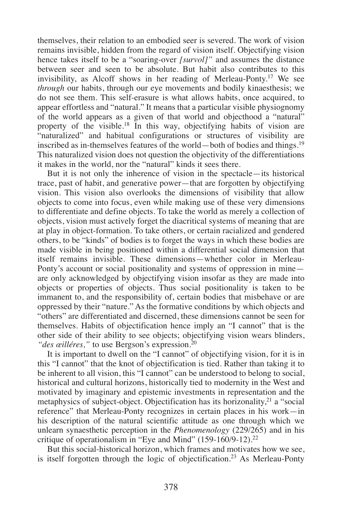themselves, their relation to an embodied seer is severed. The work of vision remains invisible, hidden from the regard of vision itself. Objectifying vision hence takes itself to be a "soaring-over *[survol]"* and assumes the distance between seer and seen to be absolute. But habit also contributes to this invisibility, as Alcoff shows in her reading of Merleau-Ponty.17 We see *through* our habits, through our eye movements and bodily kinaesthesis; we do not see them. This self-erasure is what allows habits, once acquired, to appear effortless and "natural." It means that a particular visible physiognomy of the world appears as a given of that world and objecthood a "natural" property of the visible.<sup>18</sup> In this way, objectifying habits of vision are "naturalized" and habitual configurations or structures of visibility are inscribed as in-themselves features of the world—both of bodies and things.19 This naturalized vision does not question the objectivity of the differentiations it makes in the world, nor the "natural" kinds it sees there.

But it is not only the inherence of vision in the spectacle—its historical trace, past of habit, and generative power—that are forgotten by objectifying vision. This vision also overlooks the dimensions of visibility that allow objects to come into focus, even while making use of these very dimensions to differentiate and define objects. To take the world as merely a collection of objects, vision must actively forget the diacritical systems of meaning that are at play in object-formation. To take others, or certain racialized and gendered others, to be "kinds" of bodies is to forget the ways in which these bodies are made visible in being positioned within a differential social dimension that itself remains invisible. These dimensions—whether color in Merleau-Ponty's account or social positionality and systems of oppression in mine are only acknowledged by objectifying vision insofar as they are made into objects or properties of objects. Thus social positionality is taken to be immanent to, and the responsibility of, certain bodies that misbehave or are oppressed by their "nature." As the formative conditions by which objects and "others" are differentiated and discerned, these dimensions cannot be seen for themselves. Habits of objectification hence imply an "I cannot" that is the other side of their ability to see objects; objectifying vision wears blinders, *"des œilléres,"* to use Bergson's expression.<sup>20</sup>

It is important to dwell on the "I cannot" of objectifying vision, for it is in this "I cannot" that the knot of objectification is tied. Rather than taking it to be inherent to all vision, this "I cannot" can be understood to belong to social, historical and cultural horizons, historically tied to modernity in the West and motivated by imaginary and epistemic investments in representation and the metaphysics of subject-object. Objectification has its horizonality, $2<sup>1</sup>$  a "social reference" that Merleau-Ponty recognizes in certain places in his work—in his description of the natural scientific attitude as one through which we unlearn synaesthetic perception in the *Phenomenology* (229/265) and in his critique of operationalism in "Eye and Mind" (159-160/9-12).22

But this social-historical horizon, which frames and motivates how we see, is itself forgotten through the logic of objectification.23 As Merleau-Ponty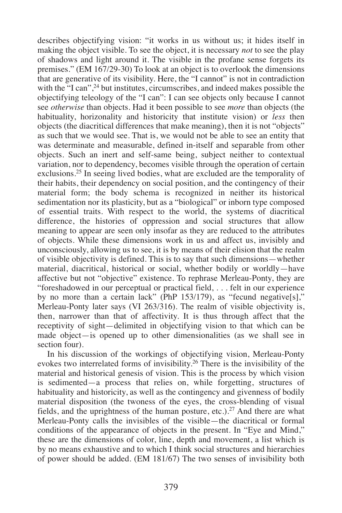describes objectifying vision: "it works in us without us; it hides itself in making the object visible. To see the object, it is necessary *not* to see the play of shadows and light around it. The visible in the profane sense forgets its premises." (EM 167/29-30) To look at an object is to overlook the dimensions that are generative of its visibility. Here, the "I cannot" is not in contradiction with the "I can",<sup>24</sup> but institutes, circumscribes, and indeed makes possible the objectifying teleology of the "I can": I can see objects only because I cannot see *otherwise* than objects. Had it been possible to see *more* than objects (the habituality, horizonality and historicity that institute vision) or *less* then objects (the diacritical differences that make meaning), then it is not "objects" as such that we would see. That is, we would not be able to see an entity that was determinate and measurable, defined in-itself and separable from other objects. Such an inert and self-same being, subject neither to contextual variation, nor to dependency, becomes visible through the operation of certain exclusions.25 In seeing lived bodies, what are excluded are the temporality of their habits, their dependency on social position, and the contingency of their material form; the body schema is recognized in neither its historical sedimentation nor its plasticity, but as a "biological" or inborn type composed of essential traits. With respect to the world, the systems of diacritical difference, the histories of oppression and social structures that allow meaning to appear are seen only insofar as they are reduced to the attributes of objects. While these dimensions work in us and affect us, invisibly and unconsciously, allowing us to see, it is by means of their elision that the realm of visible objectivity is defined. This is to say that such dimensions—whether material, diacritical, historical or social, whether bodily or worldly—have affective but not "objective" existence. To rephrase Merleau-Ponty, they are "foreshadowed in our perceptual or practical field, . . . felt in our experience by no more than a certain lack" (PhP 153/179), as "fecund negative[s]," Merleau-Ponty later says (VI 263/316). The realm of visible objectivity is, then, narrower than that of affectivity. It is thus through affect that the receptivity of sight—delimited in objectifying vision to that which can be made object—is opened up to other dimensionalities (as we shall see in section four).

In his discussion of the workings of objectifying vision, Merleau-Ponty evokes two interrelated forms of invisibility.26 There is the invisibility of the material and historical genesis of vision. This is the process by which vision is sedimented—a process that relies on, while forgetting, structures of habituality and historicity, as well as the contingency and givenness of bodily material disposition (the twoness of the eyes, the cross-blending of visual fields, and the uprightness of the human posture, etc.).27 And there are what Merleau-Ponty calls the invisibles of the visible—the diacritical or formal conditions of the appearance of objects in the present. In "Eye and Mind," these are the dimensions of color, line, depth and movement, a list which is by no means exhaustive and to which I think social structures and hierarchies of power should be added. (EM 181/67) The two senses of invisibility both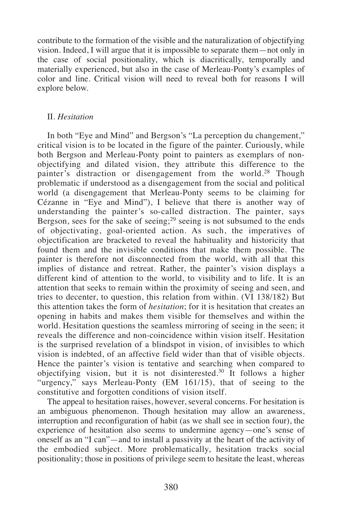contribute to the formation of the visible and the naturalization of objectifying vision. Indeed, I will argue that it is impossible to separate them—not only in the case of social positionality, which is diacritically, temporally and materially experienced, but also in the case of Merleau-Ponty's examples of color and line. Critical vision will need to reveal both for reasons I will explore below.

#### II. *Hesitation*

In both "Eye and Mind" and Bergson's "La perception du changement," critical vision is to be located in the figure of the painter. Curiously, while both Bergson and Merleau-Ponty point to painters as exemplars of nonobjectifying and dilated vision, they attribute this difference to the painter's distraction or disengagement from the world.<sup>28</sup> Though problematic if understood as a disengagement from the social and political world (a disengagement that Merleau-Ponty seems to be claiming for Cézanne in "Eye and Mind"), I believe that there is another way of understanding the painter's so-called distraction. The painter, says Bergson, sees for the sake of seeing; $^{29}$  seeing is not subsumed to the ends of objectivating, goal-oriented action. As such, the imperatives of objectification are bracketed to reveal the habituality and historicity that found them and the invisible conditions that make them possible. The painter is therefore not disconnected from the world, with all that this implies of distance and retreat. Rather, the painter's vision displays a different kind of attention to the world, to visibility and to life. It is an attention that seeks to remain within the proximity of seeing and seen, and tries to decenter, to question, this relation from within. (VI 138/182) But this attention takes the form of *hesitation*; for it is hesitation that creates an opening in habits and makes them visible for themselves and within the world. Hesitation questions the seamless mirroring of seeing in the seen; it reveals the difference and non-coincidence within vision itself. Hesitation is the surprised revelation of a blindspot in vision, of invisibles to which vision is indebted, of an affective field wider than that of visible objects. Hence the painter's vision is tentative and searching when compared to objectifying vision, but it is not disinterested.<sup>30</sup> It follows a higher "urgency," says Merleau-Ponty (EM 161/15), that of seeing to the constitutive and forgotten conditions of vision itself.

The appeal to hesitation raises, however, several concerns. For hesitation is an ambiguous phenomenon. Though hesitation may allow an awareness, interruption and reconfiguration of habit (as we shall see in section four), the experience of hesitation also seems to undermine agency—one's sense of oneself as an "I can"—and to install a passivity at the heart of the activity of the embodied subject. More problematically, hesitation tracks social positionality; those in positions of privilege seem to hesitate the least, whereas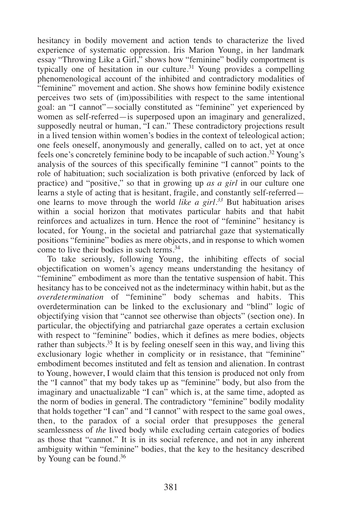hesitancy in bodily movement and action tends to characterize the lived experience of systematic oppression. Iris Marion Young, in her landmark essay "Throwing Like a Girl," shows how "feminine" bodily comportment is typically one of hesitation in our culture.<sup>31</sup> Young provides a compelling phenomenological account of the inhibited and contradictory modalities of "feminine" movement and action. She shows how feminine bodily existence perceives two sets of (im)possibilities with respect to the same intentional goal: an "I cannot"—socially constituted as "feminine" yet experienced by women as self-referred—is superposed upon an imaginary and generalized, supposedly neutral or human, "I can." These contradictory projections result in a lived tension within women's bodies in the context of teleological action; one feels oneself, anonymously and generally, called on to act, yet at once feels one's concretely feminine body to be incapable of such action.32 Young's analysis of the sources of this specifically feminine "I cannot" points to the role of habituation; such socialization is both privative (enforced by lack of practice) and "positive," so that in growing up *as a girl* in our culture one learns a style of acting that is hesitant, fragile, and constantly self-referred one learns to move through the world *like a girl.33* But habituation arises within a social horizon that motivates particular habits and that habit reinforces and actualizes in turn. Hence the root of "feminine" hesitancy is located, for Young, in the societal and patriarchal gaze that systematically positions "feminine" bodies as mere objects, and in response to which women come to live their bodies in such terms.34

To take seriously, following Young, the inhibiting effects of social objectification on women's agency means understanding the hesitancy of "feminine" embodiment as more than the tentative suspension of habit. This hesitancy has to be conceived not as the indeterminacy within habit, but as the *overdetermination* of "feminine" body schemas and habits. This overdetermination can be linked to the exclusionary and "blind" logic of objectifying vision that "cannot see otherwise than objects" (section one). In particular, the objectifying and patriarchal gaze operates a certain exclusion with respect to "feminine" bodies, which it defines as mere bodies, objects rather than subjects.35 It is by feeling oneself seen in this way, and living this exclusionary logic whether in complicity or in resistance, that "feminine" embodiment becomes instituted and felt as tension and alienation. In contrast to Young, however, I would claim that this tension is produced not only from the "I cannot" that my body takes up as "feminine" body, but also from the imaginary and unactualizable "I can" which is, at the same time, adopted as the norm of bodies in general. The contradictory "feminine" bodily modality that holds together "I can" and "I cannot" with respect to the same goal owes, then, to the paradox of a social order that presupposes the general seamlessness of *the* lived body while excluding certain categories of bodies as those that "cannot." It is in its social reference, and not in any inherent ambiguity within "feminine" bodies, that the key to the hesitancy described by Young can be found.36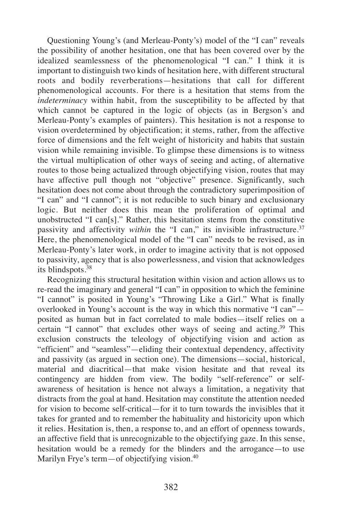Questioning Young's (and Merleau-Ponty's) model of the "I can" reveals the possibility of another hesitation, one that has been covered over by the idealized seamlessness of the phenomenological "I can." I think it is important to distinguish two kinds of hesitation here, with different structural roots and bodily reverberations—hesitations that call for different phenomenological accounts. For there is a hesitation that stems from the *indeterminacy* within habit, from the susceptibility to be affected by that which cannot be captured in the logic of objects (as in Bergson's and Merleau-Ponty's examples of painters). This hesitation is not a response to vision overdetermined by objectification; it stems, rather, from the affective force of dimensions and the felt weight of historicity and habits that sustain vision while remaining invisible. To glimpse these dimensions is to witness the virtual multiplication of other ways of seeing and acting, of alternative routes to those being actualized through objectifying vision, routes that may have affective pull though not "objective" presence. Significantly, such hesitation does not come about through the contradictory superimposition of "I can" and "I cannot"; it is not reducible to such binary and exclusionary logic. But neither does this mean the proliferation of optimal and unobstructed "I can[s]." Rather, this hesitation stems from the constitutive passivity and affectivity *within* the "I can," its invisible infrastructure.<sup>37</sup> Here, the phenomenological model of the "I can" needs to be revised, as in Merleau-Ponty's later work, in order to imagine activity that is not opposed to passivity, agency that is also powerlessness, and vision that acknowledges its blindspots.38

Recognizing this structural hesitation within vision and action allows us to re-read the imaginary and general "I can" in opposition to which the feminine "I cannot" is posited in Young's "Throwing Like a Girl." What is finally overlooked in Young's account is the way in which this normative "I can" posited as human but in fact correlated to male bodies—itself relies on a certain "I cannot" that excludes other ways of seeing and acting.39 This exclusion constructs the teleology of objectifying vision and action as "efficient" and "seamless"—eliding their contextual dependency, affectivity and passivity (as argued in section one). The dimensions—social, historical, material and diacritical—that make vision hesitate and that reveal its contingency are hidden from view. The bodily "self-reference" or selfawareness of hesitation is hence not always a limitation, a negativity that distracts from the goal at hand. Hesitation may constitute the attention needed for vision to become self-critical—for it to turn towards the invisibles that it takes for granted and to remember the habituality and historicity upon which it relies. Hesitation is, then, a response to, and an effort of openness towards, an affective field that is unrecognizable to the objectifying gaze. In this sense, hesitation would be a remedy for the blinders and the arrogance—to use Marilyn Frye's term—of objectifying vision.<sup>40</sup>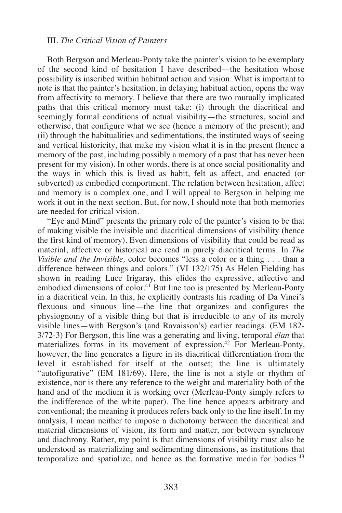#### III. *The Critical Vision of Painters*

Both Bergson and Merleau-Ponty take the painter's vision to be exemplary of the second kind of hesitation I have described—the hesitation whose possibility is inscribed within habitual action and vision. What is important to note is that the painter's hesitation, in delaying habitual action, opens the way from affectivity to memory. I believe that there are two mutually implicated paths that this critical memory must take: (i) through the diacritical and seemingly formal conditions of actual visibility—the structures, social and otherwise, that configure what we see (hence a memory of the present); and (ii) through the habitualities and sedimentations, the instituted ways of seeing and vertical historicity, that make my vision what it is in the present (hence a memory of the past, including possibly a memory of a past that has never been present for my vision). In other words, there is at once social positionality and the ways in which this is lived as habit, felt as affect, and enacted (or subverted) as embodied comportment. The relation between hesitation, affect and memory is a complex one, and I will appeal to Bergson in helping me work it out in the next section. But, for now, I should note that both memories are needed for critical vision.

"Eye and Mind" presents the primary role of the painter's vision to be that of making visible the invisible and diacritical dimensions of visibility (hence the first kind of memory). Even dimensions of visibility that could be read as material, affective or historical are read in purely diacritical terms. In *The Visible and the Invisible,* color becomes "less a color or a thing . . . than a difference between things and colors." (VI 132/175) As Helen Fielding has shown in reading Luce Irigaray, this elides the expressive, affective and embodied dimensions of color.<sup>41</sup> But line too is presented by Merleau-Ponty in a diacritical vein. In this, he explicitly contrasts his reading of Da Vinci's flexuous and sinuous line—the line that organizes and configures the physiognomy of a visible thing but that is irreducible to any of its merely visible lines—with Bergson's (and Ravaisson's) earlier readings. (EM 182- 3/72-3) For Bergson, this line was a generating and living, temporal *élan* that materializes forms in its movement of expression.42 For Merleau-Ponty, however, the line generates a figure in its diacritical differentiation from the level it established for itself at the outset; the line is ultimately "autofigurative" (EM 181/69). Here, the line is not a style or rhythm of existence, nor is there any reference to the weight and materiality both of the hand and of the medium it is working over (Merleau-Ponty simply refers to the indifference of the white paper). The line hence appears arbitrary and conventional; the meaning it produces refers back only to the line itself. In my analysis, I mean neither to impose a dichotomy between the diacritical and material dimensions of vision, its form and matter, nor between synchrony and diachrony. Rather, my point is that dimensions of visibility must also be understood as materializing and sedimenting dimensions, as institutions that temporalize and spatialize, and hence as the formative media for bodies.<sup>43</sup>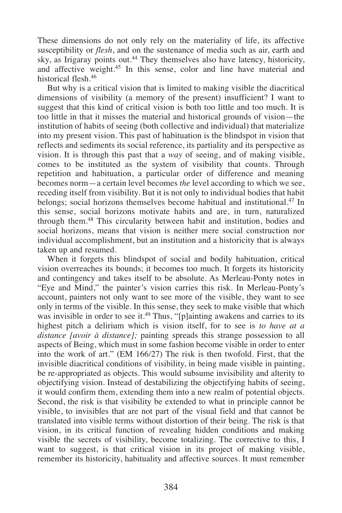These dimensions do not only rely on the materiality of life, its affective susceptibility or *flesh*, and on the sustenance of media such as air, earth and sky, as Irigaray points out.<sup>44</sup> They themselves also have latency, historicity, and affective weight.45 In this sense, color and line have material and historical flesh.46

But why is a critical vision that is limited to making visible the diacritical dimensions of visibility (a memory of the present) insufficient? I want to suggest that this kind of critical vision is both too little and too much. It is too little in that it misses the material and historical grounds of vision—the institution of habits of seeing (both collective and individual) that materialize into my present vision. This past of habituation is the blindspot in vision that reflects and sediments its social reference, its partiality and its perspective as vision. It is through this past that a *way* of seeing, and of making visible, comes to be instituted as the system of visibility that counts. Through repetition and habituation, a particular order of difference and meaning becomes norm—a certain level becomes *the* level according to which we see, receding itself from visibility. But it is not only to individual bodies that habit belongs; social horizons themselves become habitual and institutional.<sup>47</sup> In this sense, social horizons motivate habits and are, in turn, naturalized through them.48 This circularity between habit and institution, bodies and social horizons, means that vision is neither mere social construction nor individual accomplishment, but an institution and a historicity that is always taken up and resumed.

When it forgets this blindspot of social and bodily habituation, critical vision overreaches its bounds; it becomes too much. It forgets its historicity and contingency and takes itself to be absolute. As Merleau-Ponty notes in "Eye and Mind," the painter's vision carries this risk. In Merleau-Ponty's account, painters not only want to see more of the visible, they want to see only in terms of the visible. In this sense, they seek to make visible that which was invisible in order to see it.<sup>49</sup> Thus, "[p]ainting awakens and carries to its highest pitch a delirium which is vision itself, for to see is *to have at a distance [avoir à distance];* painting spreads this strange possession to all aspects of Being, which must in some fashion become visible in order to enter into the work of art." (EM 166/27) The risk is then twofold. First, that the invisible diacritical conditions of visibility, in being made visible in painting, be re-appropriated as objects. This would subsume invisibility and alterity to objectifying vision. Instead of destabilizing the objectifying habits of seeing, it would confirm them, extending them into a new realm of potential objects. Second, the risk is that visibility be extended to what in principle cannot be visible, to invisibles that are not part of the visual field and that cannot be translated into visible terms without distortion of their being. The risk is that vision, in its critical function of revealing hidden conditions and making visible the secrets of visibility, become totalizing. The corrective to this, I want to suggest, is that critical vision in its project of making visible, remember its historicity, habituality and affective sources. It must remember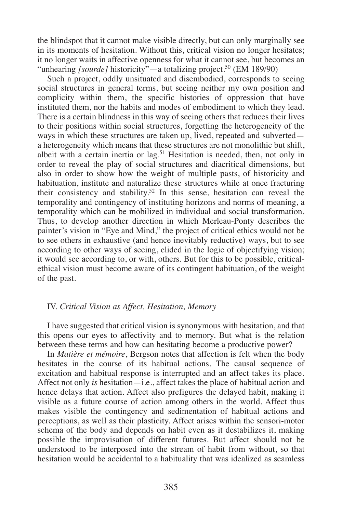the blindspot that it cannot make visible directly, but can only marginally see in its moments of hesitation. Without this, critical vision no longer hesitates; it no longer waits in affective openness for what it cannot see, but becomes an "unhearing *[sourde]* historicity"—a totalizing project.<sup>50</sup> (EM 189/90)

Such a project, oddly unsituated and disembodied, corresponds to seeing social structures in general terms, but seeing neither my own position and complicity within them, the specific histories of oppression that have instituted them, nor the habits and modes of embodiment to which they lead. There is a certain blindness in this way of seeing others that reduces their lives to their positions within social structures, forgetting the heterogeneity of the ways in which these structures are taken up, lived, repeated and subverted a heterogeneity which means that these structures are not monolithic but shift, albeit with a certain inertia or lag.<sup>51</sup> Hesitation is needed, then, not only in order to reveal the play of social structures and diacritical dimensions, but also in order to show how the weight of multiple pasts, of historicity and habituation, institute and naturalize these structures while at once fracturing their consistency and stability.<sup>52</sup> In this sense, hesitation can reveal the temporality and contingency of instituting horizons and norms of meaning, a temporality which can be mobilized in individual and social transformation. Thus, to develop another direction in which Merleau-Ponty describes the painter's vision in "Eye and Mind," the project of critical ethics would not be to see others in exhaustive (and hence inevitably reductive) ways, but to see according to other ways of seeing, elided in the logic of objectifying vision; it would see according to, or with, others. But for this to be possible, criticalethical vision must become aware of its contingent habituation, of the weight of the past.

#### IV. *Critical Vision as Affect, Hesitation, Memory*

I have suggested that critical vision is synonymous with hesitation, and that this opens our eyes to affectivity and to memory. But what is the relation between these terms and how can hesitating become a productive power?

In *Matière et mémoire*, Bergson notes that affection is felt when the body hesitates in the course of its habitual actions. The causal sequence of excitation and habitual response is interrupted and an affect takes its place. Affect not only *is* hesitation—i.e., affect takes the place of habitual action and hence delays that action. Affect also prefigures the delayed habit, making it visible as a future course of action among others in the world. Affect thus makes visible the contingency and sedimentation of habitual actions and perceptions, as well as their plasticity. Affect arises within the sensori-motor schema of the body and depends on habit even as it destabilizes it, making possible the improvisation of different futures. But affect should not be understood to be interposed into the stream of habit from without, so that hesitation would be accidental to a habituality that was idealized as seamless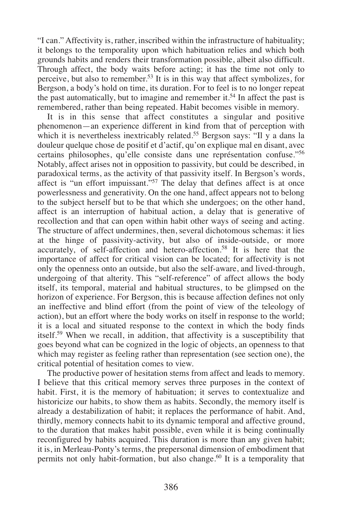"I can." Affectivity is, rather, inscribed within the infrastructure of habituality; it belongs to the temporality upon which habituation relies and which both grounds habits and renders their transformation possible, albeit also difficult. Through affect, the body waits before acting; it has the time not only to perceive, but also to remember.53 It is in this way that affect symbolizes, for Bergson, a body's hold on time, its duration. For to feel is to no longer repeat the past automatically, but to imagine and remember it.<sup>54</sup> In affect the past is remembered, rather than being repeated. Habit becomes visible in memory.

It is in this sense that affect constitutes a singular and positive phenomenon—an experience different in kind from that of perception with which it is nevertheless inextricably related.<sup>55</sup> Bergson says: "Il y a dans la douleur quelque chose de positif et d'actif, qu'on explique mal en disant, avec certains philosophes, qu'elle consiste dans une représentation confuse."56 Notably, affect arises not in opposition to passivity, but could be described, in paradoxical terms, as the activity of that passivity itself. In Bergson's words, affect is "un effort impuissant."57 The delay that defines affect is at once powerlessness and generativity. On the one hand, affect appears not to belong to the subject herself but to be that which she undergoes; on the other hand, affect is an interruption of habitual action, a delay that is generative of recollection and that can open within habit other ways of seeing and acting. The structure of affect undermines, then, several dichotomous schemas: it lies at the hinge of passivity-activity, but also of inside-outside, or more accurately, of self-affection and hetero-affection.58 It is here that the importance of affect for critical vision can be located; for affectivity is not only the openness onto an outside, but also the self-aware, and lived-through, undergoing of that alterity. This "self-reference" of affect allows the body itself, its temporal, material and habitual structures, to be glimpsed on the horizon of experience. For Bergson, this is because affection defines not only an ineffective and blind effort (from the point of view of the teleology of action), but an effort where the body works on itself in response to the world; it is a local and situated response to the context in which the body finds itself.59 When we recall, in addition, that affectivity is a susceptibility that goes beyond what can be cognized in the logic of objects, an openness to that which may register as feeling rather than representation (see section one), the critical potential of hesitation comes to view.

The productive power of hesitation stems from affect and leads to memory. I believe that this critical memory serves three purposes in the context of habit. First, it is the memory of habituation; it serves to contextualize and historicize our habits, to show them as habits. Secondly, the memory itself is already a destabilization of habit; it replaces the performance of habit. And, thirdly, memory connects habit to its dynamic temporal and affective ground, to the duration that makes habit possible, even while it is being continually reconfigured by habits acquired. This duration is more than any given habit; it is, in Merleau-Ponty's terms, the prepersonal dimension of embodiment that permits not only habit-formation, but also change.<sup>60</sup> It is a temporality that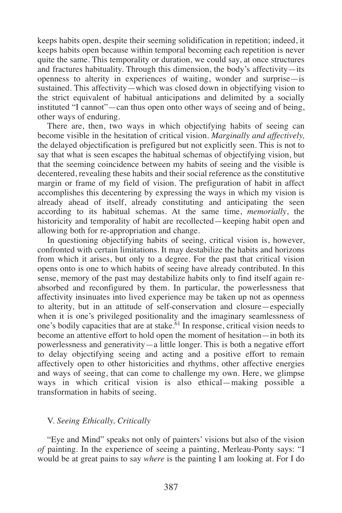keeps habits open, despite their seeming solidification in repetition; indeed, it keeps habits open because within temporal becoming each repetition is never quite the same. This temporality or duration, we could say, at once structures and fractures habituality. Through this dimension, the body's affectivity—its openness to alterity in experiences of waiting, wonder and surprise—is sustained. This affectivity—which was closed down in objectifying vision to the strict equivalent of habitual anticipations and delimited by a socially instituted "I cannot"—can thus open onto other ways of seeing and of being, other ways of enduring.

There are, then, two ways in which objectifying habits of seeing can become visible in the hesitation of critical vision. *Marginally and affectively,* the delayed objectification is prefigured but not explicitly seen. This is not to say that what is seen escapes the habitual schemas of objectifying vision, but that the seeming coincidence between my habits of seeing and the visible is decentered, revealing these habits and their social reference as the constitutive margin or frame of my field of vision. The prefiguration of habit in affect accomplishes this decentering by expressing the ways in which my vision is already ahead of itself, already constituting and anticipating the seen according to its habitual schemas. At the same time, *memorially*, the historicity and temporality of habit are recollected—keeping habit open and allowing both for re-appropriation and change.

In questioning objectifying habits of seeing, critical vision is, however, confronted with certain limitations. It may destabilize the habits and horizons from which it arises, but only to a degree. For the past that critical vision opens onto is one to which habits of seeing have already contributed. In this sense, memory of the past may destabilize habits only to find itself again reabsorbed and reconfigured by them. In particular, the powerlessness that affectivity insinuates into lived experience may be taken up not as openness to alterity, but in an attitude of self-conservation and closure—especially when it is one's privileged positionality and the imaginary seamlessness of one's bodily capacities that are at stake.61 In response, critical vision needs to become an attentive effort to hold open the moment of hesitation—in both its powerlessness and generativity—a little longer. This is both a negative effort to delay objectifying seeing and acting and a positive effort to remain affectively open to other historicities and rhythms, other affective energies and ways of seeing, that can come to challenge my own. Here, we glimpse ways in which critical vision is also ethical—making possible a transformation in habits of seeing.

#### V. *Seeing Ethically, Critically*

"Eye and Mind" speaks not only of painters' visions but also of the vision *of* painting. In the experience of seeing a painting, Merleau-Ponty says: "I would be at great pains to say *where* is the painting I am looking at. For I do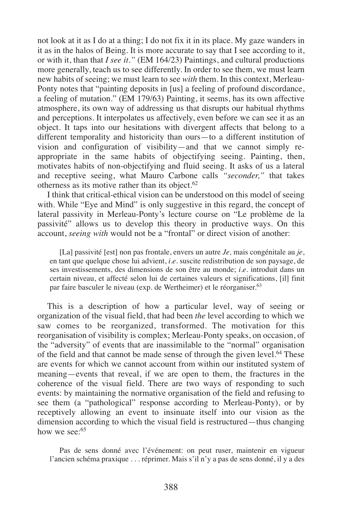not look at it as I do at a thing; I do not fix it in its place. My gaze wanders in it as in the halos of Being. It is more accurate to say that I see according to it, or with it, than that *I see it."* (EM 164/23) Paintings, and cultural productions more generally, teach us to see differently. In order to see them, we must learn new habits of seeing; we must learn to see *with* them. In this context, Merleau-Ponty notes that "painting deposits in [us] a feeling of profound discordance, a feeling of mutation." (EM 179/63) Painting, it seems, has its own affective atmosphere, its own way of addressing us that disrupts our habitual rhythms and perceptions. It interpolates us affectively, even before we can see it as an object. It taps into our hesitations with divergent affects that belong to a different temporality and historicity than ours—to a different institution of vision and configuration of visibility—and that we cannot simply reappropriate in the same habits of objectifying seeing. Painting, then, motivates habits of non-objectifying and fluid seeing. It asks of us a lateral and receptive seeing, what Mauro Carbone calls *"seconder,"* that takes otherness as its motive rather than its object. $62$ 

I think that critical-ethical vision can be understood on this model of seeing with. While "Eye and Mind" is only suggestive in this regard, the concept of lateral passivity in Merleau-Ponty's lecture course on "Le problème de la passivité" allows us to develop this theory in productive ways. On this account, *seeing with* would not be a "frontal" or direct vision of another:

[La] passivité [est] non pas frontale, envers un autre *Je,* mais congénitale au *je*, en tant que quelque chose lui advient, *i.e.* suscite redistribution de son paysage, de ses investissements, des dimensions de son être au monde; *i.e.* introduit dans un certain niveau, et affecté selon lui de certaines valeurs et significations, [il] finit par faire basculer le niveau (exp. de Wertheimer) et le réorganiser.63

This is a description of how a particular level, way of seeing or organization of the visual field, that had been *the* level according to which we saw comes to be reorganized, transformed. The motivation for this reorganisation of visibility is complex; Merleau-Ponty speaks, on occasion, of the "adversity" of events that are inassimilable to the "normal" organisation of the field and that cannot be made sense of through the given level.64 These are events for which we cannot account from within our instituted system of meaning—events that reveal, if we are open to them, the fractures in the coherence of the visual field. There are two ways of responding to such events: by maintaining the normative organisation of the field and refusing to see them (a "pathological" response according to Merleau-Ponty), or by receptively allowing an event to insinuate itself into our vision as the dimension according to which the visual field is restructured—thus changing how we see: $65$ 

Pas de sens donné avec l'événement: on peut ruser, maintenir en vigueur l'ancien schéma praxique . . . réprimer. Mais s'il n'y a pas de sens donné, il y a des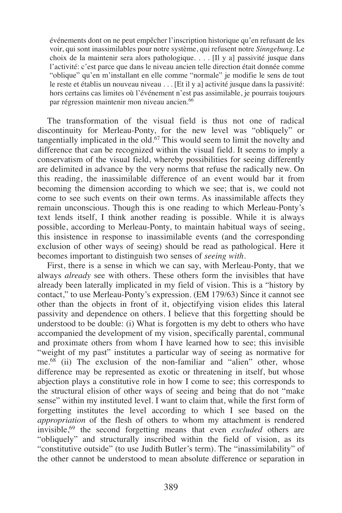événements dont on ne peut empêcher l'inscription historique qu'en refusant de les voir, qui sont inassimilables pour notre système, qui refusent notre *Sinngebung.* Le choix de la maintenir sera alors pathologique. . . . [Il y a] passivité jusque dans l'activité: c'est parce que dans le niveau ancien telle direction était donnée comme "oblique" qu'en m'installant en elle comme "normale" je modifie le sens de tout le reste et établis un nouveau niveau . . . [Et il y a] activité jusque dans la passivité: hors certains cas limites où l'événement n'est pas assimilable, je pourrais toujours par régression maintenir mon niveau ancien.66

The transformation of the visual field is thus not one of radical discontinuity for Merleau-Ponty, for the new level was "obliquely" or tangentially implicated in the old.<sup>67</sup> This would seem to limit the novelty and difference that can be recognized within the visual field. It seems to imply a conservatism of the visual field, whereby possibilities for seeing differently are delimited in advance by the very norms that refuse the radically new. On this reading, the inassimilable difference of an event would bar it from becoming the dimension according to which we see; that is, we could not come to see such events on their own terms. As inassimilable affects they remain unconscious. Though this is one reading to which Merleau-Ponty's text lends itself, I think another reading is possible. While it is always possible, according to Merleau-Ponty, to maintain habitual ways of seeing, this insistence in response to inassimilable events (and the corresponding exclusion of other ways of seeing) should be read as pathological. Here it becomes important to distinguish two senses of *seeing with.*

First, there is a sense in which we can say, with Merleau-Ponty, that we always *already* see with others. These others form the invisibles that have already been laterally implicated in my field of vision. This is a "history by contact," to use Merleau-Ponty's expression. (EM 179/63) Since it cannot see other than the objects in front of it, objectifying vision elides this lateral passivity and dependence on others. I believe that this forgetting should be understood to be double: (i) What is forgotten is my debt to others who have accompanied the development of my vision, specifically parental, communal and proximate others from whom I have learned how to see; this invisible "weight of my past" institutes a particular way of seeing as normative for me.68 (ii) The exclusion of the non-familiar and "alien" other, whose difference may be represented as exotic or threatening in itself, but whose abjection plays a constitutive role in how I come to see; this corresponds to the structural elision of other ways of seeing and being that do not "make sense" within my instituted level. I want to claim that, while the first form of forgetting institutes the level according to which I see based on the *appropriation* of the flesh of others to whom my attachment is rendered invisible,69 the second forgetting means that even *excluded* others are "obliquely" and structurally inscribed within the field of vision, as its "constitutive outside" (to use Judith Butler's term). The "inassimilability" of the other cannot be understood to mean absolute difference or separation in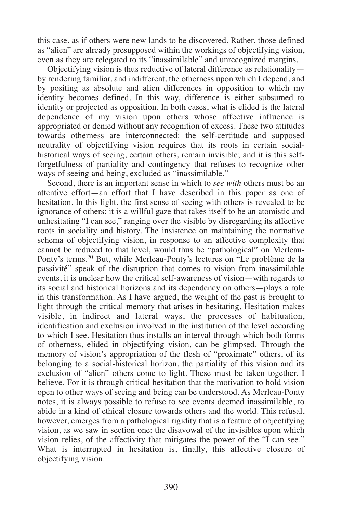this case, as if others were new lands to be discovered. Rather, those defined as "alien" are already presupposed within the workings of objectifying vision, even as they are relegated to its "inassimilable" and unrecognized margins.

Objectifying vision is thus reductive of lateral difference as relationality by rendering familiar, and indifferent, the otherness upon which I depend, and by positing as absolute and alien differences in opposition to which my identity becomes defined. In this way, difference is either subsumed to identity or projected as opposition. In both cases, what is elided is the lateral dependence of my vision upon others whose affective influence is appropriated or denied without any recognition of excess. These two attitudes towards otherness are interconnected: the self-certitude and supposed neutrality of objectifying vision requires that its roots in certain socialhistorical ways of seeing, certain others, remain invisible; and it is this selfforgetfulness of partiality and contingency that refuses to recognize other ways of seeing and being, excluded as "inassimilable."

Second, there is an important sense in which to *see with* others must be an attentive effort—an effort that I have described in this paper as one of hesitation. In this light, the first sense of seeing with others is revealed to be ignorance of others; it is a willful gaze that takes itself to be an atomistic and unhesitating "I can see," ranging over the visible by disregarding its affective roots in sociality and history. The insistence on maintaining the normative schema of objectifying vision, in response to an affective complexity that cannot be reduced to that level, would thus be "pathological" on Merleau-Ponty's terms.70 But, while Merleau-Ponty's lectures on "Le problème de la passivité" speak of the disruption that comes to vision from inassimilable events, it is unclear how the critical self-awareness of vision—with regards to its social and historical horizons and its dependency on others—plays a role in this transformation. As I have argued, the weight of the past is brought to light through the critical memory that arises in hesitating. Hesitation makes visible, in indirect and lateral ways, the processes of habituation, identification and exclusion involved in the institution of the level according to which I see. Hesitation thus installs an interval through which both forms of otherness, elided in objectifying vision, can be glimpsed. Through the memory of vision's appropriation of the flesh of "proximate" others, of its belonging to a social-historical horizon, the partiality of this vision and its exclusion of "alien" others come to light. These must be taken together, I believe. For it is through critical hesitation that the motivation to hold vision open to other ways of seeing and being can be understood. As Merleau-Ponty notes, it is always possible to refuse to see events deemed inassimilable, to abide in a kind of ethical closure towards others and the world. This refusal, however, emerges from a pathological rigidity that is a feature of objectifying vision, as we saw in section one: the disavowal of the invisibles upon which vision relies, of the affectivity that mitigates the power of the "I can see." What is interrupted in hesitation is, finally, this affective closure of objectifying vision.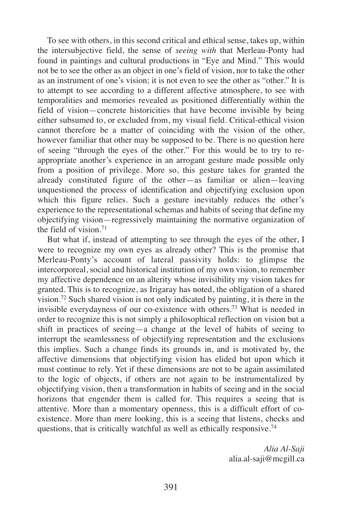To see with others, in this second critical and ethical sense, takes up, within the intersubjective field, the sense of *seeing with* that Merleau-Ponty had found in paintings and cultural productions in "Eye and Mind." This would not be to see the other as an object in one's field of vision, nor to take the other as an instrument of one's vision; it is not even to see the other as "other." It is to attempt to see according to a different affective atmosphere, to see with temporalities and memories revealed as positioned differentially within the field of vision—concrete historicities that have become invisible by being either subsumed to, or excluded from, my visual field. Critical-ethical vision cannot therefore be a matter of coinciding with the vision of the other, however familiar that other may be supposed to be. There is no question here of seeing "through the eyes of the other." For this would be to try to reappropriate another's experience in an arrogant gesture made possible only from a position of privilege. More so, this gesture takes for granted the already constituted figure of the other—as familiar or alien—leaving unquestioned the process of identification and objectifying exclusion upon which this figure relies. Such a gesture inevitably reduces the other's experience to the representational schemas and habits of seeing that define my objectifying vision—regressively maintaining the normative organization of the field of vision  $71$ 

But what if, instead of attempting to see through the eyes of the other, I were to recognize my own eyes as already other? This is the promise that Merleau-Ponty's account of lateral passivity holds: to glimpse the intercorporeal, social and historical institution of my own vision, to remember my affective dependence on an alterity whose invisibility my vision takes for granted. This is to recognize, as Irigaray has noted, the obligation of a shared vision.72 Such shared vision is not only indicated by painting, it is there in the invisible everydayness of our co-existence with others.73 What is needed in order to recognize this is not simply a philosophical reflection on vision but a shift in practices of seeing—a change at the level of habits of seeing to interrupt the seamlessness of objectifying representation and the exclusions this implies. Such a change finds its grounds in, and is motivated by, the affective dimensions that objectifying vision has elided but upon which it must continue to rely. Yet if these dimensions are not to be again assimilated to the logic of objects, if others are not again to be instrumentalized by objectifying vision, then a transformation in habits of seeing and in the social horizons that engender them is called for. This requires a seeing that is attentive. More than a momentary openness, this is a difficult effort of coexistence. More than mere looking, this is a seeing that listens, checks and questions, that is critically watchful as well as ethically responsive.74

> *Alia Al-Saji* alia.al-saji@mcgill.ca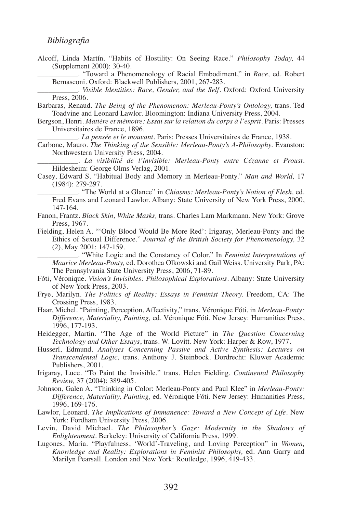#### *Bibliografia*

Alcoff, Linda Martín. "Habits of Hostility: On Seeing Race." *Philosophy Today,* 44 (Supplement 2000): 30-40.

\_\_\_\_\_\_\_\_\_\_\_. "Toward a Phenomenology of Racial Embodiment," in *Race,* ed. Robert Bernasconi. Oxford: Blackwell Publishers, 2001, 267-283.

\_\_\_\_\_\_\_\_\_\_\_. *Visible Identities: Race, Gender, and the Self.* Oxford: Oxford University Press, 2006.

Barbaras, Renaud. *The Being of the Phenomenon: Merleau-Ponty's Ontology,* trans. Ted Toadvine and Leonard Lawlor. Bloomington: Indiana University Press, 2004.

Bergson, Henri. *Matière et mémoire: Essai sur la relation du corps à l'esprit.* Paris: Presses Universitaires de France, 1896.

\_\_\_\_\_\_\_\_\_\_\_. *La pensée et le mouvant.* Paris: Presses Universitaires de France, 1938.

Carbone, Mauro. *The Thinking of the Sensible: Merleau-Ponty's A-Philosophy.* Evanston: Northwestern University Press, 2004.

\_\_\_\_\_\_\_\_\_\_\_. *La visibilité de l'invisible: Merleau-Ponty entre Cézanne et Proust.* Hildesheim: George Olms Verlag, 2001.

Casey, Edward S. "Habitual Body and Memory in Merleau-Ponty." *Man and World,* 17 (1984): 279-297.

\_\_\_\_\_\_\_\_\_\_\_. "The World at a Glance" in *Chiasms: Merleau-Ponty's Notion of Flesh,* ed. Fred Evans and Leonard Lawlor. Albany: State University of New York Press, 2000, 147-164.

- Fanon, Frantz. *Black Skin, White Masks,* trans. Charles Lam Markmann. New York: Grove Press, 1967.
- Fielding, Helen A. "'Only Blood Would Be More Red': Irigaray, Merleau-Ponty and the Ethics of Sexual Difference." *Journal of the British Society for Phenomenology,* 32 (2), May 2001: 147-159.

\_\_\_\_\_\_\_\_\_\_\_. "White Logic and the Constancy of Color." In *Feminist Interpretations of Maurice Merleau-Ponty,* ed. Dorothea Olkowski and Gail Weiss. University Park, PA: The Pennsylvania State University Press, 2006, 71-89.

- Fóti, Véronique. *Vision's Invisibles: Philosophical Explorations.* Albany: State University of New York Press, 2003.
- Frye, Marilyn. *The Politics of Reality: Essays in Feminist Theory.* Freedom, CA: The Crossing Press, 1983.
- Haar, Michel. "Painting, Perception, Affectivity," trans. Véronique Fóti, in *Merleau-Ponty: Difference, Materiality, Painting,* ed. Véronique Fóti. New Jersey: Humanities Press, 1996, 177-193.

Heidegger, Martin. "The Age of the World Picture" in *The Question Concerning Technology and Other Essays*, trans. W. Lovitt. New York: Harper & Row, 1977.

Husserl, Edmund. *Analyses Concerning Passive and Active Synthesis: Lectures on Transcendental Logic,* trans. Anthony J. Steinbock. Dordrecht: Kluwer Academic Publishers, 2001.

Irigaray, Luce. "To Paint the Invisible," trans. Helen Fielding. *Continental Philosophy Review,* 37 (2004): 389-405.

- Johnson, Galen A. "Thinking in Color: Merleau-Ponty and Paul Klee" in *Merleau-Ponty: Difference, Materiality, Painting,* ed. Véronique Fóti. New Jersey: Humanities Press, 1996, 169-176.
- Lawlor, Leonard. *The Implications of Immanence: Toward a New Concept of Life.* New York: Fordham University Press, 2006.
- Levin, David Michael. *The Philosopher's Gaze: Modernity in the Shadows of Enlightenment.* Berkeley: University of California Press, 1999.
- Lugones, Maria. "Playfulness, 'World'-Traveling, and Loving Perception" in *Women, Knowledge and Reality: Explorations in Feminist Philosophy,* ed. Ann Garry and Marilyn Pearsall. London and New York: Routledge, 1996, 419-433.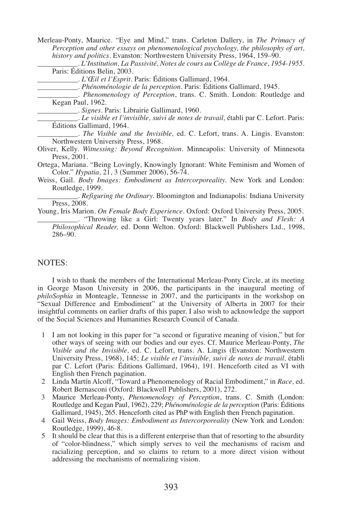Merleau-Ponty, Maurice. "Eye and Mind," trans. Carleton Dallery, in *The Primacy of Perception and other essays on phenomenological psychology, the philosophy of art, history and politics.* Evanston: Northwestern University Press, 1964, 159–90.

\_\_\_\_\_\_\_\_\_\_\_. *L'Institution, La Passivité, Notes de cours au Collège de France, 1954-1955*. Paris: Éditions Belin, 2003.

\_\_\_\_\_\_\_\_\_\_\_. *L'Œil et l'Esprit*. Paris: Éditions Gallimard, 1964.

\_\_\_\_\_\_\_\_\_\_\_. *Phénoménologie de la perception.* Paris: Éditions Gallimard, 1945.

\_\_\_\_\_\_\_\_\_\_\_. *Phenomenology of Perception*, trans. C. Smith. London: Routledge and Kegan Paul, 1962.

\_\_\_\_\_\_\_\_\_\_\_. *Signes.* Paris: Librairie Gallimard, 1960.

\_\_\_\_\_\_\_\_\_\_\_. *Le visible et l'invisible, suivi de notes de travail,* établi par C. Lefort. Paris: Éditions Gallimard, 1964.

\_\_\_\_\_\_\_\_\_\_\_. *The Visible and the Invisible,* ed. C. Lefort, trans. A. Lingis. Evanston: Northwestern University Press, 1968.

- Oliver, Kelly. *Witnessing: Beyond Recognition.* Minneapolis: University of Minnesota Press, 2001.
- Ortega, Mariana. "Being Lovingly, Knowingly Ignorant: White Feminism and Women of Color." *Hypatia,* 21, 3 (Summer 2006), 56-74.
- Weiss, Gail. *Body Images: Embodiment as Intercorporeality.* New York and London: Routledge, 1999.

. *Refiguring the Ordinary*. Bloomington and Indianapolis: Indiana University Press, 2008.

Young, Iris Marion. *On Female Body Experience*. Oxford: Oxford University Press, 2005.

\_\_\_\_\_\_\_\_\_\_\_. "Throwing like a Girl: Twenty years later." In *Body and Flesh: A Philosophical Reader,* ed. Donn Welton. Oxford: Blackwell Publishers Ltd., 1998, 286–90.

#### NOTES:

I wish to thank the members of the International Merleau-Ponty Circle, at its meeting in George Mason University in 2006, the participants in the inaugural meeting of *philoSophia* in Monteagle, Tennesse in 2007, and the participants in the workshop on "Sexual Difference and Embodiment" at the University of Alberta in 2007 for their insightful comments on earlier drafts of this paper. I also wish to acknowledge the support of the Social Sciences and Humanities Research Council of Canada.

- 1 I am not looking in this paper for "a second or figurative meaning of vision," but for other ways of seeing with our bodies and our eyes. Cf. Maurice Merleau-Ponty, *The Visible and the Invisible,* ed. C. Lefort, trans. A. Lingis (Evanston: Northwestern University Press, 1968), 145; *Le visible et l'invisible, suivi de notes de travail,* établi par C. Lefort (Paris: Éditions Gallimard, 1964), 191. Henceforth cited as VI with English then French pagination.
- 2 Linda Martín Alcoff, "Toward a Phenomenology of Racial Embodiment," in *Race,* ed. Robert Bernasconi (Oxford: Blackwell Publishers, 2001), 272.
- 3 Maurice Merleau-Ponty, *Phenomenology of Perception*, trans. C. Smith (London: Routledge and Kegan Paul, 1962), 229; *Phénoménologie de la perception* (Paris: Éditions Gallimard, 1945), 265. Henceforth cited as PhP with English then French pagination.
- 4 Gail Weiss, *Body Images: Embodiment as Intercorporeality* (New York and London: Routledge, 1999), 46-8.
- 5 It should be clear that this is a different enterprise than that of resorting to the absurdity of "color-blindness," which simply serves to veil the mechanisms of racism and racializing perception, and so claims to return to a more direct vision without addressing the mechanisms of normalizing vision.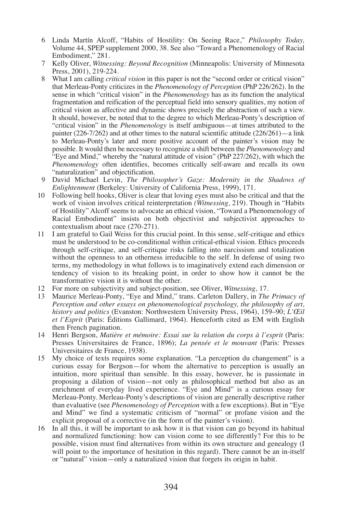- 6 Linda Martín Alcoff, "Habits of Hostility: On Seeing Race," *Philosophy Today,* Volume 44, SPEP supplement 2000, 38. See also "Toward a Phenomenology of Racial Embodiment," 281.
- 7 Kelly Oliver, *Witnessing: Beyond Recognition* (Minneapolis: University of Minnesota Press, 2001), 219-224.
- 8 What I am calling *critical vision* in this paper is not the "second order or critical vision" that Merleau-Ponty criticizes in the *Phenomenology of Perception* (PhP 226/262). In the sense in which "critical vision" in the *Phenomenology* has as its function the analytical fragmentation and reification of the perceptual field into sensory qualities, my notion of critical vision as affective and dynamic shows precisely the abstraction of such a view. It should, however, be noted that to the degree to which Merleau-Ponty's description of "critical vision" in the *Phenomenology* is itself ambiguous—at times attributed to the painter  $(226-7/262)$  and at other times to the natural scientific attitude  $(226/261)$ —a link to Merleau-Ponty's later and more positive account of the painter's vision may be possible. It would then be necessary to recognize a shift between the *Phenomenology* and "Eye and Mind," whereby the "natural attitude of vision" (PhP 227/262), with which the *Phenomenology* often identifies, becomes critically self-aware and recalls its own "naturalization" and objectification.
- 9 David Michael Levin, *The Philosopher's Gaze: Modernity in the Shadows of Enlightenment* (Berkeley: University of California Press, 1999), 171.
- 10 Following bell hooks, Oliver is clear that loving eyes must also be critical and that the work of vision involves critical reinterpretation *(Witnessing,* 219). Though in "Habits of Hostility" Alcoff seems to advocate an ethical vision, "Toward a Phenomenology of Racial Embodiment" insists on both objectivist and subjectivist approaches to contextualism about race (270-271).
- 11 I am grateful to Gail Weiss for this crucial point. In this sense, self-critique and ethics must be understood to be co-conditional within critical-ethical vision. Ethics proceeds through self-critique, and self-critique risks falling into narcissism and totalization without the openness to an otherness irreducible to the self. In defense of using two terms, my methodology in what follows is to imaginatively extend each dimension or tendency of vision to its breaking point, in order to show how it cannot be the transformative vision it is without the other.
- 12 For more on subjectivity and subject-position, see Oliver, *Witnessing,* 17.
- 13 Maurice Merleau-Ponty, "Eye and Mind," trans. Carleton Dallery, in *The Primacy of Perception and other essays on phenomenological psychology, the philosophy of art, history and politics* (Evanston: Northwestern University Press, 1964), 159–90; *L'Œil et l'Esprit* (Paris: Éditions Gallimard, 1964). Henceforth cited as EM with English then French pagination.
- 14 Henri Bergson, *Matière et mémoire: Essai sur la relation du corps à l'esprit* (Paris: Presses Universitaires de France, 1896); *La pensée et le mouvant* (Paris: Presses Universitaires de France, 1938).
- 15 My choice of texts requires some explanation. "La perception du changement" is a curious essay for Bergson—for whom the alternative to perception is usually an intuition, more spiritual than sensible. In this essay, however, he is passionate in proposing a dilation of vision—not only as philosophical method but also as an enrichment of everyday lived experience. "Eye and Mind" is a curious essay for Merleau-Ponty. Merleau-Ponty's descriptions of vision are generally descriptive rather than evaluative (see *Phenomenology of Perception* with a few exceptions). But in "Eye and Mind" we find a systematic criticism of "normal" or profane vision and the explicit proposal of a corrective (in the form of the painter's vision).
- 16 In all this, it will be important to ask how it is that vision can go beyond its habitual and normalized functioning: how can vision come to see differently? For this to be possible, vision must find alternatives from within its own structure and genealogy (I will point to the importance of hesitation in this regard). There cannot be an in-itself or "natural" vision—only a naturalized vision that forgets its origin in habit.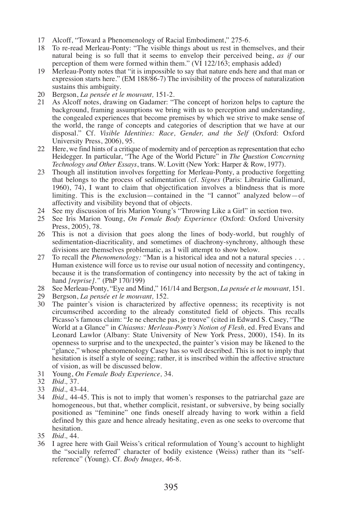- 17 Alcoff, "Toward a Phenomenology of Racial Embodiment," 275-6.
- 18 To re-read Merleau-Ponty: "The visible things about us rest in themselves, and their natural being is so full that it seems to envelop their perceived being, *as if* our perception of them were formed within them." (VI 122/163; emphasis added)
- 19 Merleau-Ponty notes that "it is impossible to say that nature ends here and that man or expression starts here." (EM 188/86-7) The invisibility of the process of naturalization sustains this ambiguity.
- 20 Bergson, *La pensée et le mouvant*, 151-2.<br>21 As Alcoff notes, drawing on Gadamer: "
- As Alcoff notes, drawing on Gadamer: "The concept of horizon helps to capture the background, framing assumptions we bring with us to perception and understanding, the congealed experiences that become premises by which we strive to make sense of the world, the range of concepts and categories of description that we have at our disposal." Cf. *Visible Identities: Race, Gender, and the Self* (Oxford: Oxford University Press, 2006), 95.
- 22 Here, we find hints of a critique of modernity and of perception as representation that echo Heidegger. In particular, "The Age of the World Picture" in *The Question Concerning Technology and Other Essays*, trans. W. Lovitt (New York: Harper & Row, 1977).
- 23 Though all institution involves forgetting for Merleau-Ponty, a productive forgetting that belongs to the process of sedimentation (cf. *Signes* (Paris: Librairie Gallimard, 1960), 74), I want to claim that objectification involves a blindness that is more limiting. This is the exclusion—contained in the "I cannot" analyzed below—of affectivity and visibility beyond that of objects.
- 24 See my discussion of Iris Marion Young's "Throwing Like a Girl" in section two.<br>25 See Iris Marion Young, On Female Body Experience (Oxford: Oxford Univer
- 25 See Iris Marion Young, *On Female Body Experience* (Oxford: Oxford University Press, 2005), 78.
- 26 This is not a division that goes along the lines of body-world, but roughly of sedimentation-diacriticality, and sometimes of diachrony-synchrony, although these divisions are themselves problematic, as I will attempt to show below.
- 27 To recall the *Phenomenology:* "Man is a historical idea and not a natural species . . . Human existence will force us to revise our usual notion of necessity and contingency, because it is the transformation of contingency into necessity by the act of taking in hand *[reprise]."* (PhP 170/199)
- 28 See Merleau-Ponty, "Eye and Mind," 161/14 and Bergson, *La pensée et le mouvant,* 151.
- 29 Bergson, *La pensée et le mouvant,* 152.
- 30 The painter's vision is characterized by affective openness; its receptivity is not circumscribed according to the already constituted field of objects. This recalls Picasso's famous claim: "Je ne cherche pas, je trouve" (cited in Edward S. Casey, "The World at a Glance" in *Chiasms: Merleau-Ponty's Notion of Flesh,* ed. Fred Evans and Leonard Lawlor (Albany: State University of New York Press, 2000), 154). In its openness to surprise and to the unexpected, the painter's vision may be likened to the "glance," whose phenomenology Casey has so well described. This is not to imply that hesitation is itself a style of seeing; rather, it is inscribed within the affective structure of vision, as will be discussed below.
- 31 Young, *On Female Body Experience,* 34.
- 32 *Ibid.,* 37.
- 33 *Ibid.,* 43-44.
- 34 *Ibid.,* 44-45. This is not to imply that women's responses to the patriarchal gaze are homogeneous, but that, whether complicit, resistant, or subversive, by being socially positioned as "feminine" one finds oneself already having to work within a field defined by this gaze and hence already hesitating, even as one seeks to overcome that hesitation.
- 35 *Ibid.,* 44.
- 36 I agree here with Gail Weiss's critical reformulation of Young's account to highlight the "socially referred" character of bodily existence (Weiss) rather than its "selfreference" (Young). Cf. *Body Images,* 46-8.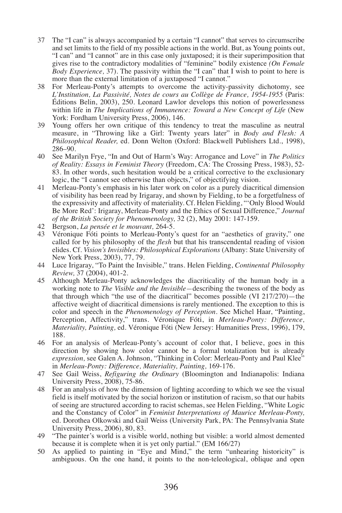- 37 The "I can" is always accompanied by a certain "I cannot" that serves to circumscribe and set limits to the field of my possible actions in the world. But, as Young points out, "I can" and "I cannot" are in this case only juxtaposed; it is their superimposition that gives rise to the contradictory modalities of "feminine" bodily existence *(On Female Body Experience,* 37). The passivity within the "I can" that I wish to point to here is more than the external limitation of a juxtaposed "I cannot."
- 38 For Merleau-Ponty's attempts to overcome the activity-passivity dichotomy, see *L'Institution, La Passivité, Notes de cours au Collège de France, 1954-1955* (Paris: Éditions Belin, 2003), 250. Leonard Lawlor develops this notion of powerlessness within life in *The Implications of Immanence: Toward a New Concept of Life* (New York: Fordham University Press, 2006), 146.
- 39 Young offers her own critique of this tendency to treat the masculine as neutral measure, in "Throwing like a Girl: Twenty years later" in *Body and Flesh: A Philosophical Reader,* ed. Donn Welton (Oxford: Blackwell Publishers Ltd., 1998), 286–90.
- 40 See Marilyn Frye, "In and Out of Harm's Way: Arrogance and Love" in *The Politics of Reality: Essays in Feminist Theory* (Freedom, CA: The Crossing Press, 1983), 52- 83. In other words, such hesitation would be a critical corrective to the exclusionary logic, the "I cannot see otherwise than objects," of objectifying vision.
- 41 Merleau-Ponty's emphasis in his later work on color as a purely diacritical dimension of visibility has been read by Irigaray, and shown by Fielding, to be a forgetfulness of the expressivity and affectivity of materiality. Cf. Helen Fielding, "'Only Blood Would Be More Red': Irigaray, Merleau-Ponty and the Ethics of Sexual Difference," *Journal of the British Society for Phenomenology,* 32 (2), May 2001: 147-159.
- 42 Bergson, *La pensée et le mouvant,* 264-5.
- 43 Véronique Fóti points to Merleau-Ponty's quest for an "aesthetics of gravity," one called for by his philosophy of the *flesh* but that his transcendental reading of vision elides. Cf. *Vision's Invisibles: Philosophical Explorations* (Albany: State University of New York Press, 2003), 77, 79.
- 44 Luce Irigaray, "To Paint the Invisible," trans. Helen Fielding, *Continental Philosophy Review,* 37 (2004), 401-2.
- 45 Although Merleau-Ponty acknowledges the diacriticality of the human body in a working note to *The Visible and the Invisible—*describing the twoness of the body as that through which "the use of the diacritical" becomes possible (VI 217/270)—the affective weight of diacritical dimensions is rarely mentioned. The exception to this is color and speech in the *Phenomenology of Perception.* See Michel Haar, "Painting, Perception, Affectivity," trans. Véronique Fóti, in *Merleau-Ponty: Difference, Materiality, Painting, ed. Véronique Fóti (New Jersey: Humanities Press, 1996), 179,* 188.
- 46 For an analysis of Merleau-Ponty's account of color that, I believe, goes in this direction by showing how color cannot be a formal totalization but is already *expression,* see Galen A. Johnson, "Thinking in Color: Merleau-Ponty and Paul Klee" in *Merleau-Ponty: Difference, Materiality, Painting,* 169-176.
- 47 See Gail Weiss, *Refiguring the Ordinary* (Bloomington and Indianapolis: Indiana University Press, 2008), 75-86.
- 48 For an analysis of how the dimension of lighting according to which we see the visual field is itself motivated by the social horizon or institution of racism, so that our habits of seeing are structured according to racist schemas, see Helen Fielding, "White Logic and the Constancy of Color" in *Feminist Interpretations of Maurice Merleau-Ponty,* ed. Dorothea Olkowski and Gail Weiss (University Park, PA: The Pennsylvania State University Press, 2006), 80, 83.
- 49 "The painter's world is a visible world, nothing but visible: a world almost demented because it is complete when it is yet only partial." (EM 166/27)
- 50 As applied to painting in "Eye and Mind," the term "unhearing historicity" is ambiguous. On the one hand, it points to the non-teleological, oblique and open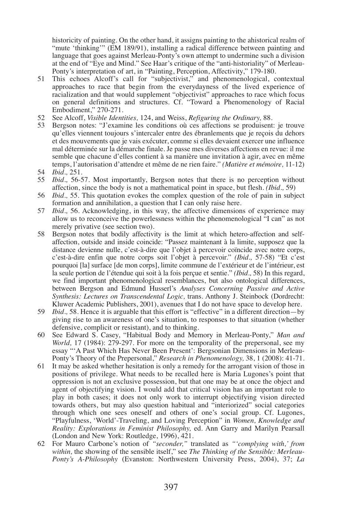historicity of painting. On the other hand, it assigns painting to the ahistorical realm of "mute 'thinking'" (EM 189/91), installing a radical difference between painting and language that goes against Merleau-Ponty's own attempt to undermine such a division at the end of "Eye and Mind." See Haar's critique of the "anti-historiality" of Merleau-Ponty's interpretation of art, in "Painting, Perception, Affectivity," 179-180.

- 51 This echoes Alcoff's call for "subjectivist," and phenomenological, contextual approaches to race that begin from the everydayness of the lived experience of racialization and that would supplement "objectivist" approaches to race which focus on general definitions and structures. Cf. "Toward a Phenomenology of Racial Embodiment," 270-271.
- 52 See Alcoff, *Visible Identities,* 124, and Weiss, *Refiguring the Ordinary,* 88.
- 53 Bergson notes: "J'examine les conditions où ces affections se produisent: je trouve qu'elles viennent toujours s'intercaler entre des ébranlements que je reçois du dehors et des mouvements que je vais exécuter, comme si elles devaient exercer une influence mal déterminée sur la démarche finale. Je passe mes diverses affections en revue: il me semble que chacune d'elles contient à sa manière une invitation à agir, avec en même temps, l'autorisation d'attendre et même de ne rien faire." *(Matière et mémoire,* 11-12)
- 54 *Ibid.,* 251.
- 55 *Ibid.,* 56-57. Most importantly, Bergson notes that there is no perception without affection, since the body is not a mathematical point in space, but flesh. *(Ibid.,* 59)
- 56 *Ibid.,* 55. This quotation evokes the complex question of the role of pain in subject formation and annihilation, a question that I can only raise here.
- 57 *Ibid.,* 56. Acknowledging, in this way, the affective dimensions of experience may allow us to reconceive the powerlessness within the phenomenological "I can" as not merely privative (see section two).
- 58 Bergson notes that bodily affectivity is the limit at which hetero-affection and selfaffection, outside and inside coincide: "Passez maintenant à la limite, supposez que la distance devienne nulle, c'est-à-dire que l'objet à percevoir coïncide avec notre corps, c'est-à-dire enfin que notre corps soit l'objet à percevoir." *(Ibid.,* 57-58) "Et c'est pourquoi [la] surface [de mon corps], limite commune de l'extérieur et de l'intérieur, est la seule portion de l'étendue qui soit à la fois perçue et sentie." *(Ibid.,* 58) In this regard, we find important phenomenological resemblances, but also ontological differences, between Bergson and Edmund Husserl's *Analyses Concerning Passive and Active Synthesis: Lectures on Transcendental Logic,* trans. Anthony J. Steinbock (Dordrecht: Kluwer Academic Publishers, 2001), avenues that I do not have space to develop here.
- 59 *Ibid.,* 58. Hence it is arguable that this effort is "effective" in a different direction—by giving rise to an awareness of one's situation, to responses to that situation (whether defensive, complicit or resistant), and to thinking.
- 60 See Edward S. Casey, "Habitual Body and Memory in Merleau-Ponty," *Man and World,* 17 (1984): 279-297. For more on the temporality of the prepersonal, see my essay "'A Past Which Has Never Been Present': Bergsonian Dimensions in Merleau-Ponty's Theory of the Prepersonal," *Research in Phenomenology,* 38, 1 (2008): 41-71.
- 61 It may be asked whether hesitation is only a remedy for the arrogant vision of those in positions of privilege. What needs to be recalled here is Maria Lugones's point that oppression is not an exclusive possession, but that one may be at once the object and agent of objectifying vision. I would add that critical vision has an important role to play in both cases; it does not only work to interrupt objectifying vision directed towards others, but may also question habitual and "interiorized" social categories through which one sees oneself and others of one's social group. Cf. Lugones, "Playfulness, 'World'-Traveling, and Loving Perception" in *Women, Knowledge and Reality: Explorations in Feminist Philosophy,* ed. Ann Garry and Marilyn Pearsall (London and New York: Routledge, 1996), 421.
- 62 For Mauro Carbone's notion of *"seconder,"* translated as *"'complying with,' from within,* the showing of the sensible itself," see *The Thinking of the Sensible: Merleau-Ponty's A-Philosophy* (Evanston: Northwestern University Press, 2004), 37; *La*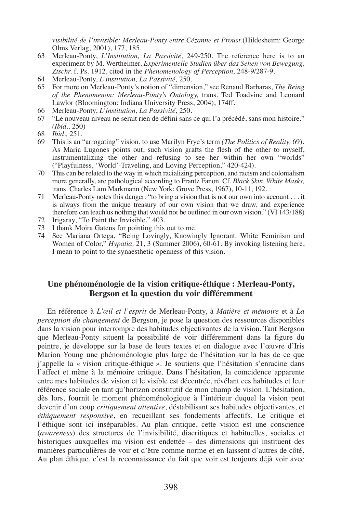*visibilité de l'invisible: Merleau-Ponty entre Cézanne et Proust* (Hildesheim: George Olms Verlag, 2001), 177, 185.

- 63 Merleau-Ponty, *L'Institution, La Passivité,* 249-250. The reference here is to an experiment by M. Wertheimer, *Experimentelle Studien über das Sehen von Bewegung, Ztschr.* f. Ps. 1912, cited in the *Phenomenology of Perception,* 248-9/287-9.
- 64 Merleau-Ponty, *L'institution, La Passivité,* 250.
- 65 For more on Merleau-Ponty's notion of "dimension," see Renaud Barbaras, *The Being of the Phenomenon: Merleau-Ponty's Ontology,* trans. Ted Toadvine and Leonard Lawlor (Bloomington: Indiana University Press, 2004), 174ff.
- 66 Merleau-Ponty, *L'institution, La Passivité,* 250.
- 67 "Le nouveau niveau ne serait rien de défini sans ce qui l'a précédé, sans mon histoire." *(Ibid.,* 250)
- 68 *Ibid.,* 251.
- 69 This is an "arrogating" vision, to use Marilyn Frye's term *(The Politics of Reality,* 69). As Maria Lugones points out, such vision grafts the flesh of the other to myself, instrumentalizing the other and refusing to see her within her own "worlds" ("Playfulness, 'World'-Traveling, and Loving Perception," 420-424).
- 70 This can be related to the way in which racializing perception, and racism and colonialism more generally, are pathological according to Frantz Fanon. Cf. *Black Skin, White Masks,* trans. Charles Lam Markmann (New York: Grove Press, 1967), 10-11, 192.
- 71 Merleau-Ponty notes this danger: "to bring a vision that is not our own into account . . . it is always from the unique treasury of our own vision that we draw, and experience therefore can teach us nothing that would not be outlined in our own vision." (VI 143/188)
- 72 Irigaray, "To Paint the Invisible," 403.
- 73 I thank Moira Gatens for pointing this out to me.
- 74 See Mariana Ortega, "Being Lovingly, Knowingly Ignorant: White Feminism and Women of Color," *Hypatia,* 21, 3 (Summer 2006), 60-61. By invoking listening here, I mean to point to the synaesthetic openness of this vision.

## **Une phénoménologie de la vision critique-éthique : Merleau-Ponty, Bergson et la question du voir différemment**

En référence à *L'œil et l'esprit* de Merleau-Ponty, à *Matière et mémoire* et à *La perception du changement* de Bergson, je pose la question des ressources disponibles dans la vision pour interrompre des habitudes objectivantes de la vision. Tant Bergson que Merleau-Ponty situent la possibilité de voir différemment dans la figure du peintre, je développe sur la base de leurs textes et en dialogue avec l'œuvre d'Iris Marion Young une phénoménologie plus large de l'hésitation sur la bas de ce que j'appelle la « vision critique-éthique ». Je soutiens que l'hésitation s'enracine dans l'affect et mène à la mémoire critique. Dans l'hésitation, la coïncidence apparente entre mes habitudes de vision et le visible est décentrée, révélant ces habitudes et leur référence sociale en tant qu'horizon constitutif de mon champ de vision. L'hésitation, dès lors, fournit le moment phénoménologique à l'intérieur duquel la vision peut devenir d'un coup *critiquement attentive*, déstabilisant ses habitudes objectivantes, et *éthiquement responsive*, en recueillant ses fondements affectifs. Le critique et l'éthique sont ici inséparables. Au plan critique, cette vision est une conscience (*awareness*) des structures de l'invisibilité, diacritiques et habituelles, sociales et historiques auxquelles ma vision est endettée – des dimensions qui instituent des manières particulières de voir et d'être comme norme et en laissent d'autres de côté. Au plan éthique, c'est la reconnaissance du fait que voir est toujours déjà voir avec